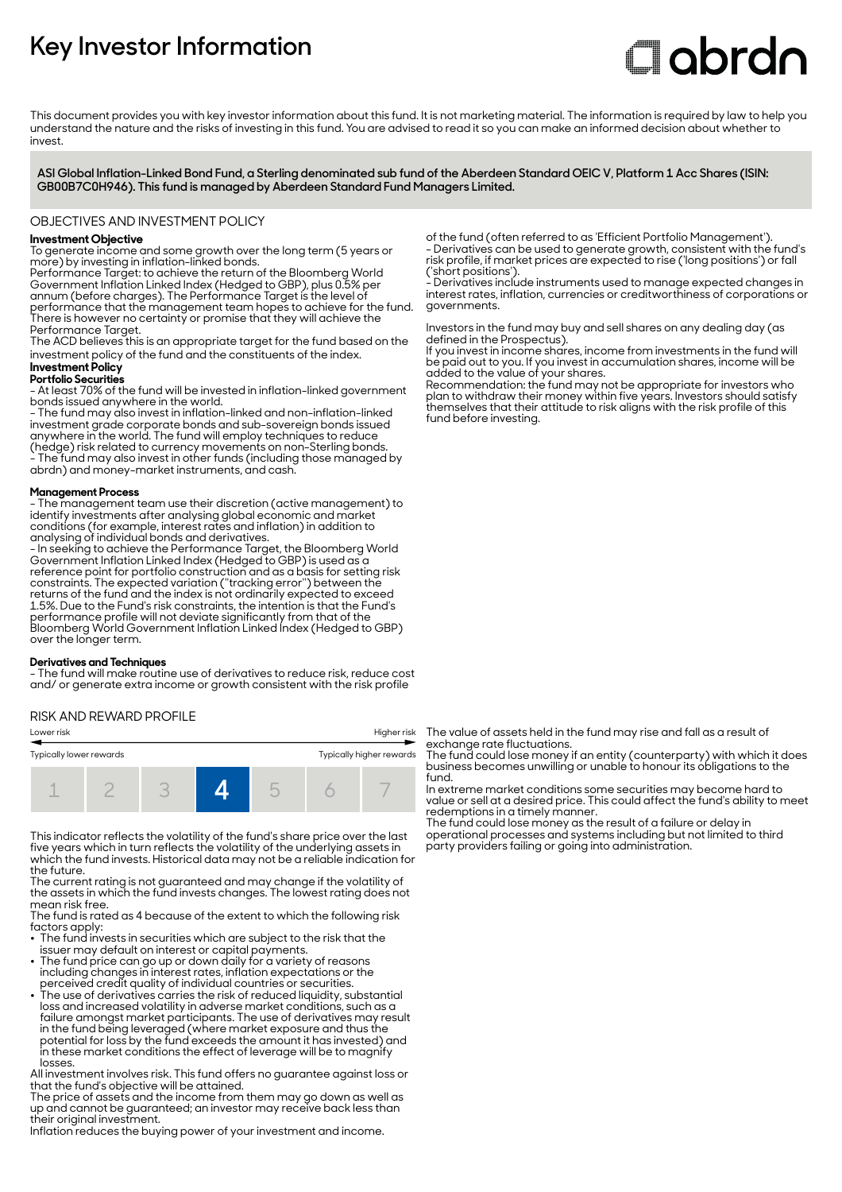## **Key Investor Information**

# **Clobrdn**

This document provides you with key investor information about this fund. It is not marketing material. The information is required by law to help you understand the nature and the risks of investing in this fund. You are advised to read it so you can make an informed decision about whether to invest

**ASI Global Inflation-Linked Bond Fund, a Sterling denominated sub fund of the Aberdeen Standard OEIC V, Platform 1 Acc Shares (ISIN: GB00B7C0H946). This fund is managed by Aberdeen Standard Fund Managers Limited.**

#### OBJECTIVES AND INVESTMENT POLICY

#### **Investment Objective**

To generate income and some growth over the long term (5 years or more) by investing in inflation-linked bonds.

Performance Target: to achieve the return of the Bloomberg World Government Inflation Linked Index (Hedged to GBP), plus 0.5% per annum (before charges). The Performance Target is the level of performance that the management team hopes to achieve for the fund. There is however no certainty or promise that they will achieve the Performance Target.

The ACD believes this is an appropriate target for the fund based on the investment policy of the fund and the constituents of the index.

#### **Investment Policy**

**Portfolio Securities**

- At least 70% of the fund will be invested in inflation-linked government bonds issued anywhere in the world.

- The fund may also invest in inflation-linked and non-inflation-linked investment grade corporate bonds and sub-sovereign bonds issued anywhere in the world. The fund will employ techniques to reduce (hedge) risk related to currency movements on non-Sterling bonds. - The fund may also invest in other funds (including those managed by abrdn) and money-market instruments, and cash.

#### **Management Process**

- The management team use their discretion (active management) to identify investments after analysing global economic and market conditions (for example, interest rates and inflation) in addition to analysing of individual bonds and derivatives.

- In seeking to achieve the Performance Target, the Bloomberg World Government Inflation Linked Index (Hedged to GBP) is used as a reference point for portfolio construction and as a basis for setting risk constraints. The expected variation (''tracking error'') between the returns of the fund and the index is not ordinarily expected to exceed 1.5%. Due to the Fund's risk constraints, the intention is that the Fund's performance profile will not deviate significantly from that of the Bloomberg World Government Inflation Linked Index (Hedged to GBP) over the longer term.

#### **Derivatives and Techniques**

- The fund will make routine use of derivatives to reduce risk, reduce cost and/ or generate extra income or growth consistent with the risk profile

#### RISK AND REWARD PROFILE

| Lower risk              |  | Higher risk |                          |  |  |  |  |
|-------------------------|--|-------------|--------------------------|--|--|--|--|
| Typically lower rewards |  |             | Typically higher rewards |  |  |  |  |
|                         |  |             | -                        |  |  |  |  |

This indicator reflects the volatility of the fund's share price over the last five years which in turn reflects the volatility of the underlying assets in which the fund invests. Historical data may not be a reliable indication for the future.

The current rating is not guaranteed and may change if the volatility of the assets in which the fund invests changes. The lowest rating does not mean risk free.

The fund is rated as 4 because of the extent to which the following risk factors apply:

- $\bullet$  The fund invests in securities which are subiect to the risk that the issuer may default on interest or capital payments.
- The fund price can go up or down daily for a variety of reasons including changes in interest rates, inflation expectations or the
- perceived credit quality of individual countries or securities. • The use of derivatives carries the risk of reduced liquidity, substantial loss and increased volatility in adverse market conditions, such as a failure amongst market participants. The use of derivatives may result in the fund being leveraged (where market exposure and thus the potential for loss by the fund exceeds the amount it has invested) and in these market conditions the effect of leverage will be to magnify losses.

All investment involves risk. This fund offers no guarantee against loss or that the fund's objective will be attained.

The price of assets and the income from them may go down as well as up and cannot be guaranteed; an investor may receive back less than their original investment.

Inflation reduces the buying power of your investment and income.

of the fund (often referred to as 'Efficient Portfolio Management'). - Derivatives can be used to generate growth, consistent with the fund's risk profile, if market prices are expected to rise ('long positions') or fall ('short positions').

- Derivatives include instruments used to manage expected changes in interest rates, inflation, currencies or creditworthiness of corporations or governments.

Investors in the fund may buy and sell shares on any dealing day (as defined in the Prospectus).

If you invest in income shares, income from investments in the fund will be paid out to you. If you invest in accumulation shares, income will be added to the value of your shares.

Recommendation: the fund may not be appropriate for investors who plan to withdraw their money within five years. Investors should satisfy themselves that their attitude to risk aligns with the risk profile of this fund before investing.

The value of assets held in the fund may rise and fall as a result of exchange rate fluctuations.

The fund could lose money if an entity (counterparty) with which it does business becomes unwilling or unable to honour its obligations to the fund.

In extreme market conditions some securities may become hard to value or sell at a desired price. This could affect the fund's ability to meet redemptions in a timely manner.

The fund could lose money as the result of a failure or delay in operational processes and systems including but not limited to third party providers failing or going into administration.